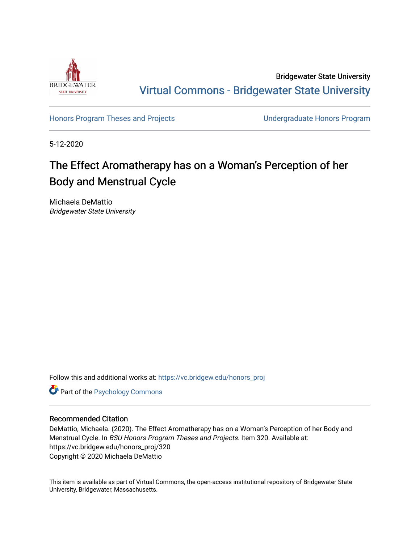

Bridgewater State University [Virtual Commons - Bridgewater State University](https://vc.bridgew.edu/) 

[Honors Program Theses and Projects](https://vc.bridgew.edu/honors_proj) [Undergraduate Honors Program](https://vc.bridgew.edu/honors) 

5-12-2020

# The Effect Aromatherapy has on a Woman's Perception of her Body and Menstrual Cycle

Michaela DeMattio Bridgewater State University

Follow this and additional works at: [https://vc.bridgew.edu/honors\\_proj](https://vc.bridgew.edu/honors_proj?utm_source=vc.bridgew.edu%2Fhonors_proj%2F320&utm_medium=PDF&utm_campaign=PDFCoverPages)

**Part of the Psychology Commons** 

## Recommended Citation

DeMattio, Michaela. (2020). The Effect Aromatherapy has on a Woman's Perception of her Body and Menstrual Cycle. In BSU Honors Program Theses and Projects. Item 320. Available at: https://vc.bridgew.edu/honors\_proj/320 Copyright © 2020 Michaela DeMattio

This item is available as part of Virtual Commons, the open-access institutional repository of Bridgewater State University, Bridgewater, Massachusetts.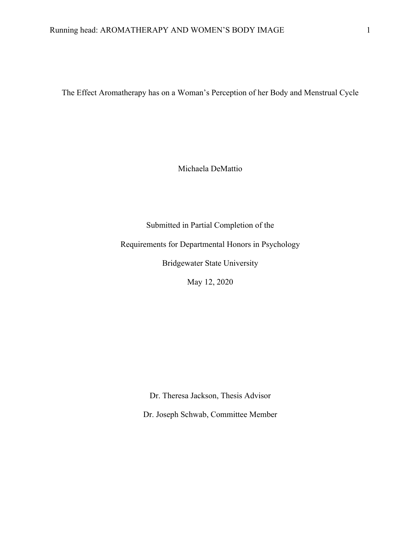The Effect Aromatherapy has on a Woman's Perception of her Body and Menstrual Cycle

Michaela DeMattio

Submitted in Partial Completion of the

Requirements for Departmental Honors in Psychology

Bridgewater State University

May 12, 2020

Dr. Theresa Jackson, Thesis Advisor

Dr. Joseph Schwab, Committee Member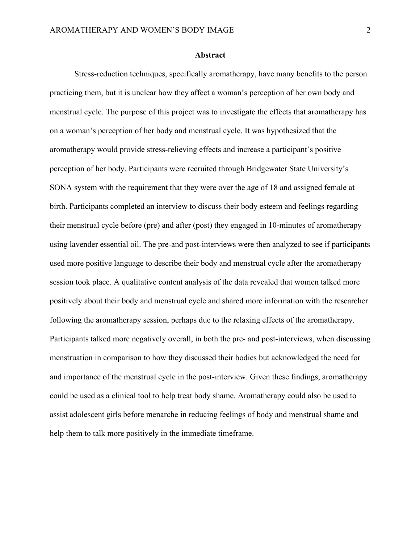#### **Abstract**

Stress-reduction techniques, specifically aromatherapy, have many benefits to the person practicing them, but it is unclear how they affect a woman's perception of her own body and menstrual cycle. The purpose of this project was to investigate the effects that aromatherapy has on a woman's perception of her body and menstrual cycle. It was hypothesized that the aromatherapy would provide stress-relieving effects and increase a participant's positive perception of her body. Participants were recruited through Bridgewater State University's SONA system with the requirement that they were over the age of 18 and assigned female at birth. Participants completed an interview to discuss their body esteem and feelings regarding their menstrual cycle before (pre) and after (post) they engaged in 10-minutes of aromatherapy using lavender essential oil. The pre-and post-interviews were then analyzed to see if participants used more positive language to describe their body and menstrual cycle after the aromatherapy session took place. A qualitative content analysis of the data revealed that women talked more positively about their body and menstrual cycle and shared more information with the researcher following the aromatherapy session, perhaps due to the relaxing effects of the aromatherapy. Participants talked more negatively overall, in both the pre- and post-interviews, when discussing menstruation in comparison to how they discussed their bodies but acknowledged the need for and importance of the menstrual cycle in the post-interview. Given these findings, aromatherapy could be used as a clinical tool to help treat body shame. Aromatherapy could also be used to assist adolescent girls before menarche in reducing feelings of body and menstrual shame and help them to talk more positively in the immediate timeframe.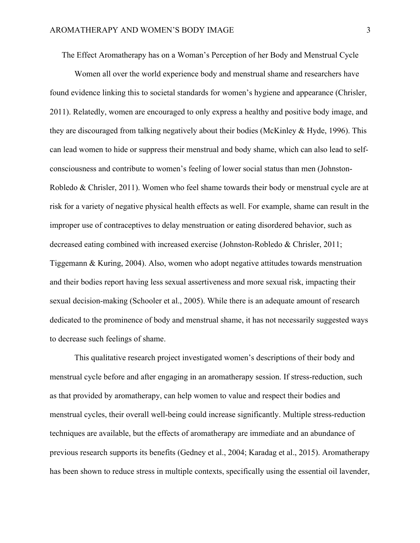The Effect Aromatherapy has on a Woman's Perception of her Body and Menstrual Cycle

Women all over the world experience body and menstrual shame and researchers have found evidence linking this to societal standards for women's hygiene and appearance (Chrisler, 2011). Relatedly, women are encouraged to only express a healthy and positive body image, and they are discouraged from talking negatively about their bodies (McKinley & Hyde, 1996). This can lead women to hide or suppress their menstrual and body shame, which can also lead to selfconsciousness and contribute to women's feeling of lower social status than men (Johnston-Robledo & Chrisler, 2011). Women who feel shame towards their body or menstrual cycle are at risk for a variety of negative physical health effects as well. For example, shame can result in the improper use of contraceptives to delay menstruation or eating disordered behavior, such as decreased eating combined with increased exercise (Johnston-Robledo & Chrisler, 2011; Tiggemann & Kuring, 2004). Also, women who adopt negative attitudes towards menstruation and their bodies report having less sexual assertiveness and more sexual risk, impacting their sexual decision-making (Schooler et al., 2005). While there is an adequate amount of research dedicated to the prominence of body and menstrual shame, it has not necessarily suggested ways to decrease such feelings of shame.

This qualitative research project investigated women's descriptions of their body and menstrual cycle before and after engaging in an aromatherapy session. If stress-reduction, such as that provided by aromatherapy, can help women to value and respect their bodies and menstrual cycles, their overall well-being could increase significantly. Multiple stress-reduction techniques are available, but the effects of aromatherapy are immediate and an abundance of previous research supports its benefits (Gedney et al., 2004; Karadag et al., 2015). Aromatherapy has been shown to reduce stress in multiple contexts, specifically using the essential oil lavender,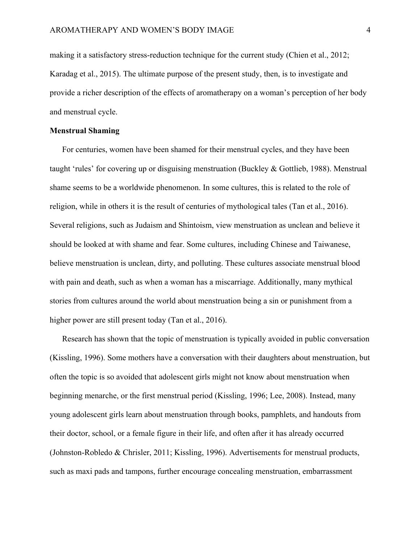making it a satisfactory stress-reduction technique for the current study (Chien et al., 2012; Karadag et al., 2015). The ultimate purpose of the present study, then, is to investigate and provide a richer description of the effects of aromatherapy on a woman's perception of her body and menstrual cycle.

#### **Menstrual Shaming**

For centuries, women have been shamed for their menstrual cycles, and they have been taught 'rules' for covering up or disguising menstruation (Buckley & Gottlieb, 1988). Menstrual shame seems to be a worldwide phenomenon. In some cultures, this is related to the role of religion, while in others it is the result of centuries of mythological tales (Tan et al., 2016). Several religions, such as Judaism and Shintoism, view menstruation as unclean and believe it should be looked at with shame and fear. Some cultures, including Chinese and Taiwanese, believe menstruation is unclean, dirty, and polluting. These cultures associate menstrual blood with pain and death, such as when a woman has a miscarriage. Additionally, many mythical stories from cultures around the world about menstruation being a sin or punishment from a higher power are still present today (Tan et al., 2016).

Research has shown that the topic of menstruation is typically avoided in public conversation (Kissling, 1996). Some mothers have a conversation with their daughters about menstruation, but often the topic is so avoided that adolescent girls might not know about menstruation when beginning menarche, or the first menstrual period (Kissling, 1996; Lee, 2008). Instead, many young adolescent girls learn about menstruation through books, pamphlets, and handouts from their doctor, school, or a female figure in their life, and often after it has already occurred (Johnston-Robledo & Chrisler, 2011; Kissling, 1996). Advertisements for menstrual products, such as maxi pads and tampons, further encourage concealing menstruation, embarrassment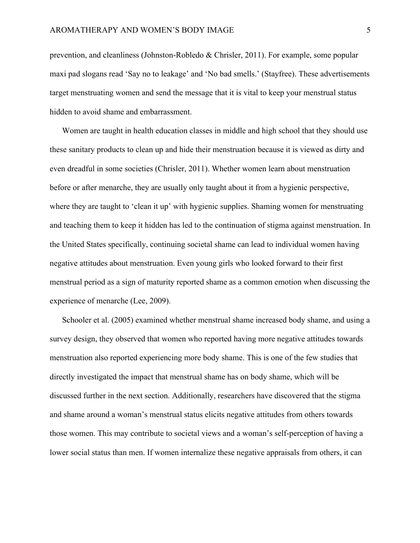prevention, and cleanliness (Johnston-Robledo & Chrisler, 2011). For example, some popular maxi pad slogans read 'Say no to leakage' and 'No bad smells.' (Stayfree). These advertisements target menstruating women and send the message that it is vital to keep your menstrual status hidden to avoid shame and embarrassment.

Women are taught in health education classes in middle and high school that they should use these sanitary products to clean up and hide their menstruation because it is viewed as dirty and even dreadful in some societies (Chrisler, 2011). Whether women learn about menstruation before or after menarche, they are usually only taught about it from a hygienic perspective, where they are taught to 'clean it up' with hygienic supplies. Shaming women for menstruating and teaching them to keep it hidden has led to the continuation of stigma against menstruation. In the United States specifically, continuing societal shame can lead to individual women having negative attitudes about menstruation. Even young girls who looked forward to their first menstrual period as a sign of maturity reported shame as a common emotion when discussing the experience of menarche (Lee, 2009).

Schooler et al. (2005) examined whether menstrual shame increased body shame, and using a survey design, they observed that women who reported having more negative attitudes towards menstruation also reported experiencing more body shame. This is one of the few studies that directly investigated the impact that menstrual shame has on body shame, which will be discussed further in the next section. Additionally, researchers have discovered that the stigma and shame around a woman's menstrual status elicits negative attitudes from others towards those women. This may contribute to societal views and a woman's self-perception of having a lower social status than men. If women internalize these negative appraisals from others, it can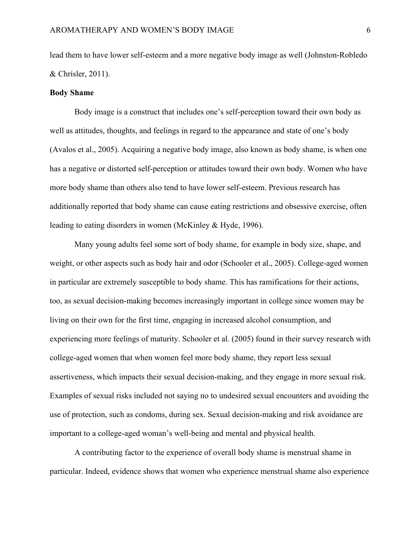lead them to have lower self-esteem and a more negative body image as well (Johnston-Robledo & Chrisler, 2011).

#### **Body Shame**

Body image is a construct that includes one's self-perception toward their own body as well as attitudes, thoughts, and feelings in regard to the appearance and state of one's body (Avalos et al., 2005). Acquiring a negative body image, also known as body shame, is when one has a negative or distorted self-perception or attitudes toward their own body. Women who have more body shame than others also tend to have lower self-esteem. Previous research has additionally reported that body shame can cause eating restrictions and obsessive exercise, often leading to eating disorders in women (McKinley & Hyde, 1996).

Many young adults feel some sort of body shame, for example in body size, shape, and weight, or other aspects such as body hair and odor (Schooler et al., 2005). College-aged women in particular are extremely susceptible to body shame. This has ramifications for their actions, too, as sexual decision-making becomes increasingly important in college since women may be living on their own for the first time, engaging in increased alcohol consumption, and experiencing more feelings of maturity. Schooler et al. (2005) found in their survey research with college-aged women that when women feel more body shame, they report less sexual assertiveness, which impacts their sexual decision-making, and they engage in more sexual risk. Examples of sexual risks included not saying no to undesired sexual encounters and avoiding the use of protection, such as condoms, during sex. Sexual decision-making and risk avoidance are important to a college-aged woman's well-being and mental and physical health.

A contributing factor to the experience of overall body shame is menstrual shame in particular. Indeed, evidence shows that women who experience menstrual shame also experience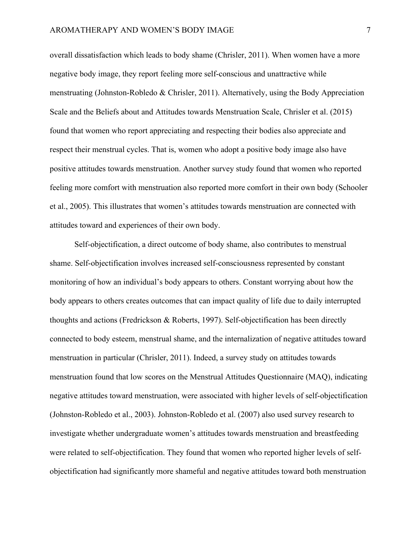overall dissatisfaction which leads to body shame (Chrisler, 2011). When women have a more negative body image, they report feeling more self-conscious and unattractive while menstruating (Johnston-Robledo & Chrisler, 2011). Alternatively, using the Body Appreciation Scale and the Beliefs about and Attitudes towards Menstruation Scale, Chrisler et al. (2015) found that women who report appreciating and respecting their bodies also appreciate and respect their menstrual cycles. That is, women who adopt a positive body image also have positive attitudes towards menstruation. Another survey study found that women who reported feeling more comfort with menstruation also reported more comfort in their own body (Schooler et al., 2005). This illustrates that women's attitudes towards menstruation are connected with attitudes toward and experiences of their own body.

Self-objectification, a direct outcome of body shame, also contributes to menstrual shame. Self-objectification involves increased self-consciousness represented by constant monitoring of how an individual's body appears to others. Constant worrying about how the body appears to others creates outcomes that can impact quality of life due to daily interrupted thoughts and actions (Fredrickson & Roberts, 1997). Self-objectification has been directly connected to body esteem, menstrual shame, and the internalization of negative attitudes toward menstruation in particular (Chrisler, 2011). Indeed, a survey study on attitudes towards menstruation found that low scores on the Menstrual Attitudes Questionnaire (MAQ), indicating negative attitudes toward menstruation, were associated with higher levels of self-objectification (Johnston-Robledo et al., 2003). Johnston-Robledo et al. (2007) also used survey research to investigate whether undergraduate women's attitudes towards menstruation and breastfeeding were related to self-objectification. They found that women who reported higher levels of selfobjectification had significantly more shameful and negative attitudes toward both menstruation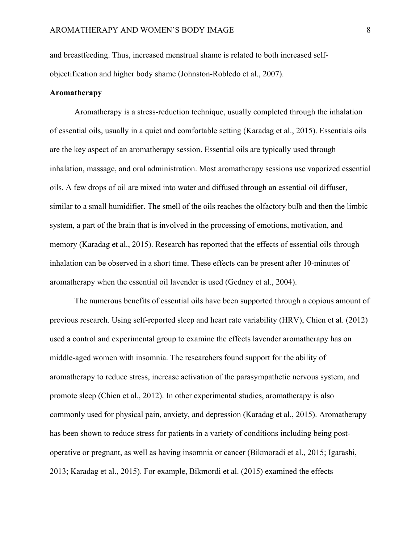and breastfeeding. Thus, increased menstrual shame is related to both increased selfobjectification and higher body shame (Johnston-Robledo et al., 2007).

#### **Aromatherapy**

Aromatherapy is a stress-reduction technique, usually completed through the inhalation of essential oils, usually in a quiet and comfortable setting (Karadag et al., 2015). Essentials oils are the key aspect of an aromatherapy session. Essential oils are typically used through inhalation, massage, and oral administration. Most aromatherapy sessions use vaporized essential oils. A few drops of oil are mixed into water and diffused through an essential oil diffuser, similar to a small humidifier. The smell of the oils reaches the olfactory bulb and then the limbic system, a part of the brain that is involved in the processing of emotions, motivation, and memory (Karadag et al., 2015). Research has reported that the effects of essential oils through inhalation can be observed in a short time. These effects can be present after 10-minutes of aromatherapy when the essential oil lavender is used (Gedney et al., 2004).

The numerous benefits of essential oils have been supported through a copious amount of previous research. Using self-reported sleep and heart rate variability (HRV), Chien et al. (2012) used a control and experimental group to examine the effects lavender aromatherapy has on middle-aged women with insomnia. The researchers found support for the ability of aromatherapy to reduce stress, increase activation of the parasympathetic nervous system, and promote sleep (Chien et al., 2012). In other experimental studies, aromatherapy is also commonly used for physical pain, anxiety, and depression (Karadag et al., 2015). Aromatherapy has been shown to reduce stress for patients in a variety of conditions including being postoperative or pregnant, as well as having insomnia or cancer (Bikmoradi et al., 2015; Igarashi, 2013; Karadag et al., 2015). For example, Bikmordi et al. (2015) examined the effects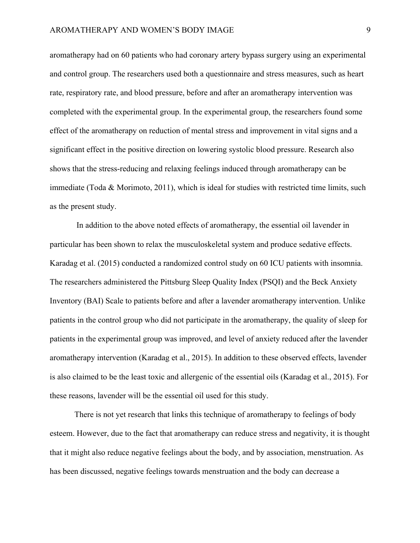aromatherapy had on 60 patients who had coronary artery bypass surgery using an experimental and control group. The researchers used both a questionnaire and stress measures, such as heart rate, respiratory rate, and blood pressure, before and after an aromatherapy intervention was completed with the experimental group. In the experimental group, the researchers found some effect of the aromatherapy on reduction of mental stress and improvement in vital signs and a significant effect in the positive direction on lowering systolic blood pressure. Research also shows that the stress-reducing and relaxing feelings induced through aromatherapy can be immediate (Toda & Morimoto, 2011), which is ideal for studies with restricted time limits, such as the present study.

In addition to the above noted effects of aromatherapy, the essential oil lavender in particular has been shown to relax the musculoskeletal system and produce sedative effects. Karadag et al. (2015) conducted a randomized control study on 60 ICU patients with insomnia. The researchers administered the Pittsburg Sleep Quality Index (PSQI) and the Beck Anxiety Inventory (BAI) Scale to patients before and after a lavender aromatherapy intervention. Unlike patients in the control group who did not participate in the aromatherapy, the quality of sleep for patients in the experimental group was improved, and level of anxiety reduced after the lavender aromatherapy intervention (Karadag et al., 2015). In addition to these observed effects, lavender is also claimed to be the least toxic and allergenic of the essential oils (Karadag et al., 2015). For these reasons, lavender will be the essential oil used for this study.

There is not yet research that links this technique of aromatherapy to feelings of body esteem. However, due to the fact that aromatherapy can reduce stress and negativity, it is thought that it might also reduce negative feelings about the body, and by association, menstruation. As has been discussed, negative feelings towards menstruation and the body can decrease a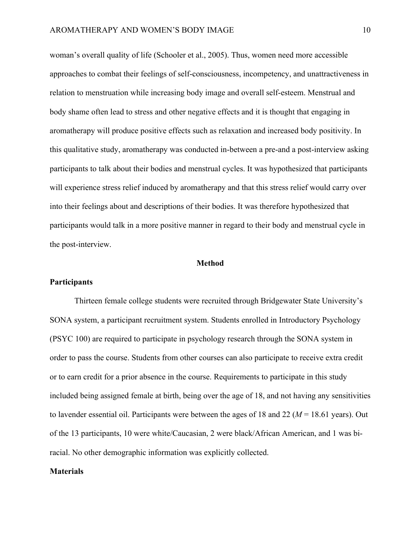woman's overall quality of life (Schooler et al., 2005). Thus, women need more accessible approaches to combat their feelings of self-consciousness, incompetency, and unattractiveness in relation to menstruation while increasing body image and overall self-esteem. Menstrual and body shame often lead to stress and other negative effects and it is thought that engaging in aromatherapy will produce positive effects such as relaxation and increased body positivity. In this qualitative study, aromatherapy was conducted in-between a pre-and a post-interview asking participants to talk about their bodies and menstrual cycles. It was hypothesized that participants will experience stress relief induced by aromatherapy and that this stress relief would carry over into their feelings about and descriptions of their bodies. It was therefore hypothesized that participants would talk in a more positive manner in regard to their body and menstrual cycle in the post-interview.

#### **Method**

#### **Participants**

Thirteen female college students were recruited through Bridgewater State University's SONA system, a participant recruitment system. Students enrolled in Introductory Psychology (PSYC 100) are required to participate in psychology research through the SONA system in order to pass the course. Students from other courses can also participate to receive extra credit or to earn credit for a prior absence in the course. Requirements to participate in this study included being assigned female at birth, being over the age of 18, and not having any sensitivities to lavender essential oil. Participants were between the ages of 18 and 22 (*M* = 18.61 years). Out of the 13 participants, 10 were white/Caucasian, 2 were black/African American, and 1 was biracial. No other demographic information was explicitly collected.

#### **Materials**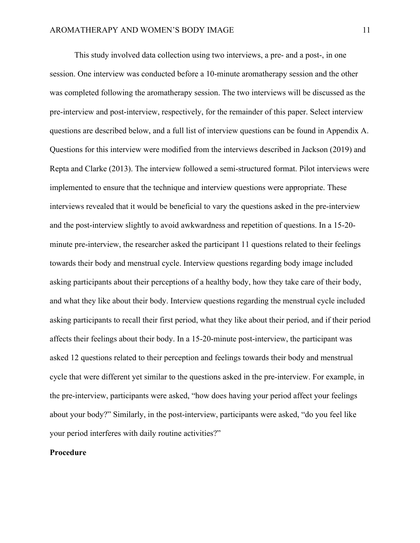This study involved data collection using two interviews, a pre- and a post-, in one session. One interview was conducted before a 10-minute aromatherapy session and the other was completed following the aromatherapy session. The two interviews will be discussed as the pre-interview and post-interview, respectively, for the remainder of this paper. Select interview questions are described below, and a full list of interview questions can be found in Appendix A. Questions for this interview were modified from the interviews described in Jackson (2019) and Repta and Clarke (2013). The interview followed a semi-structured format. Pilot interviews were implemented to ensure that the technique and interview questions were appropriate. These interviews revealed that it would be beneficial to vary the questions asked in the pre-interview and the post-interview slightly to avoid awkwardness and repetition of questions. In a 15-20 minute pre-interview, the researcher asked the participant 11 questions related to their feelings towards their body and menstrual cycle. Interview questions regarding body image included asking participants about their perceptions of a healthy body, how they take care of their body, and what they like about their body. Interview questions regarding the menstrual cycle included asking participants to recall their first period, what they like about their period, and if their period affects their feelings about their body. In a 15-20-minute post-interview, the participant was asked 12 questions related to their perception and feelings towards their body and menstrual cycle that were different yet similar to the questions asked in the pre-interview. For example, in the pre-interview, participants were asked, "how does having your period affect your feelings about your body?" Similarly, in the post-interview, participants were asked, "do you feel like your period interferes with daily routine activities?"

## **Procedure**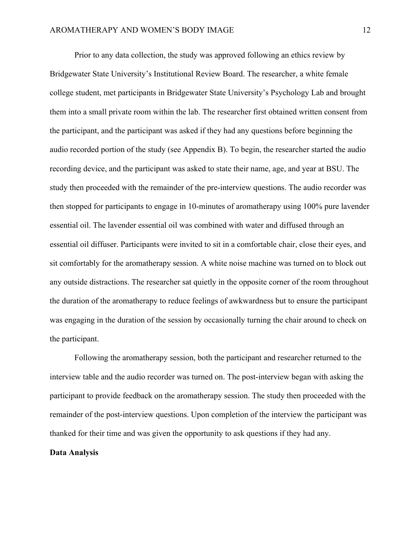Prior to any data collection, the study was approved following an ethics review by Bridgewater State University's Institutional Review Board. The researcher, a white female college student, met participants in Bridgewater State University's Psychology Lab and brought them into a small private room within the lab. The researcher first obtained written consent from the participant, and the participant was asked if they had any questions before beginning the audio recorded portion of the study (see Appendix B). To begin, the researcher started the audio recording device, and the participant was asked to state their name, age, and year at BSU. The study then proceeded with the remainder of the pre-interview questions. The audio recorder was then stopped for participants to engage in 10-minutes of aromatherapy using 100% pure lavender essential oil. The lavender essential oil was combined with water and diffused through an essential oil diffuser. Participants were invited to sit in a comfortable chair, close their eyes, and sit comfortably for the aromatherapy session. A white noise machine was turned on to block out any outside distractions. The researcher sat quietly in the opposite corner of the room throughout the duration of the aromatherapy to reduce feelings of awkwardness but to ensure the participant was engaging in the duration of the session by occasionally turning the chair around to check on the participant.

Following the aromatherapy session, both the participant and researcher returned to the interview table and the audio recorder was turned on. The post-interview began with asking the participant to provide feedback on the aromatherapy session. The study then proceeded with the remainder of the post-interview questions. Upon completion of the interview the participant was thanked for their time and was given the opportunity to ask questions if they had any.

## **Data Analysis**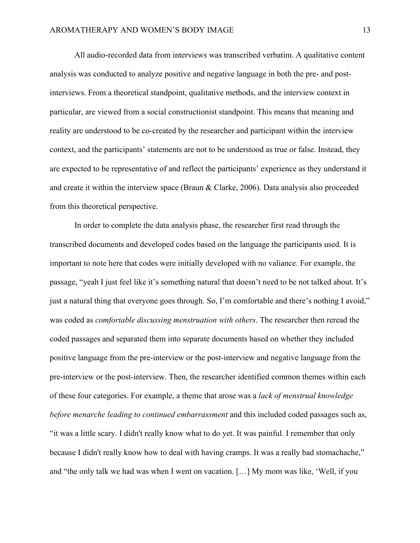All audio-recorded data from interviews was transcribed verbatim. A qualitative content analysis was conducted to analyze positive and negative language in both the pre- and postinterviews. From a theoretical standpoint, qualitative methods, and the interview context in particular, are viewed from a social constructionist standpoint. This means that meaning and reality are understood to be co-created by the researcher and participant within the interview context, and the participants' statements are not to be understood as true or false. Instead, they are expected to be representative of and reflect the participants' experience as they understand it and create it within the interview space (Braun & Clarke, 2006). Data analysis also proceeded from this theoretical perspective.

In order to complete the data analysis phase, the researcher first read through the transcribed documents and developed codes based on the language the participants used. It is important to note here that codes were initially developed with no valiance. For example, the passage, "yeah I just feel like it's something natural that doesn't need to be not talked about. It's just a natural thing that everyone goes through. So, I'm comfortable and there's nothing I avoid," was coded as *comfortable discussing menstruation with others*. The researcher then reread the coded passages and separated them into separate documents based on whether they included positive language from the pre-interview or the post-interview and negative language from the pre-interview or the post-interview. Then, the researcher identified common themes within each of these four categories. For example, a theme that arose was a *lack of menstrual knowledge before menarche leading to continued embarrassment* and this included coded passages such as, "it was a little scary. I didn't really know what to do yet. It was painful. I remember that only because I didn't really know how to deal with having cramps. It was a really bad stomachache," and "the only talk we had was when I went on vacation. […] My mom was like, 'Well, if you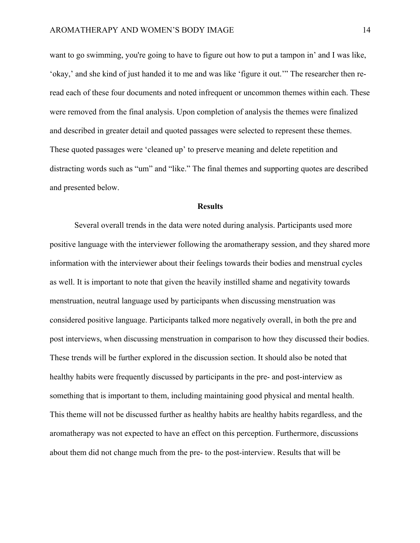want to go swimming, you're going to have to figure out how to put a tampon in' and I was like, 'okay,' and she kind of just handed it to me and was like 'figure it out.'" The researcher then reread each of these four documents and noted infrequent or uncommon themes within each. These were removed from the final analysis. Upon completion of analysis the themes were finalized and described in greater detail and quoted passages were selected to represent these themes. These quoted passages were 'cleaned up' to preserve meaning and delete repetition and distracting words such as "um" and "like." The final themes and supporting quotes are described and presented below.

#### **Results**

Several overall trends in the data were noted during analysis. Participants used more positive language with the interviewer following the aromatherapy session, and they shared more information with the interviewer about their feelings towards their bodies and menstrual cycles as well. It is important to note that given the heavily instilled shame and negativity towards menstruation, neutral language used by participants when discussing menstruation was considered positive language. Participants talked more negatively overall, in both the pre and post interviews, when discussing menstruation in comparison to how they discussed their bodies. These trends will be further explored in the discussion section. It should also be noted that healthy habits were frequently discussed by participants in the pre- and post-interview as something that is important to them, including maintaining good physical and mental health. This theme will not be discussed further as healthy habits are healthy habits regardless, and the aromatherapy was not expected to have an effect on this perception. Furthermore, discussions about them did not change much from the pre- to the post-interview. Results that will be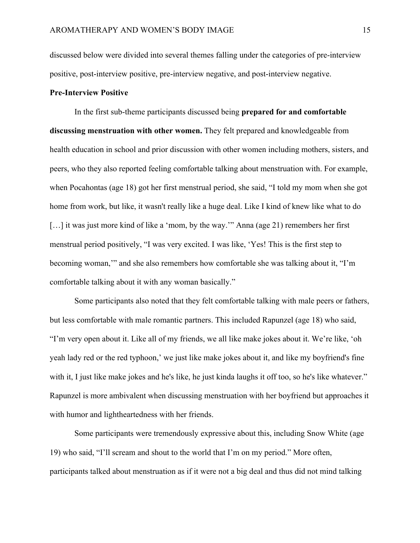discussed below were divided into several themes falling under the categories of pre-interview positive, post-interview positive, pre-interview negative, and post-interview negative.

#### **Pre-Interview Positive**

In the first sub-theme participants discussed being **prepared for and comfortable discussing menstruation with other women.** They felt prepared and knowledgeable from health education in school and prior discussion with other women including mothers, sisters, and peers, who they also reported feeling comfortable talking about menstruation with. For example, when Pocahontas (age 18) got her first menstrual period, she said, "I told my mom when she got home from work, but like, it wasn't really like a huge deal. Like I kind of knew like what to do [...] it was just more kind of like a 'mom, by the way.'" Anna (age 21) remembers her first menstrual period positively, "I was very excited. I was like, 'Yes! This is the first step to becoming woman,'" and she also remembers how comfortable she was talking about it, "I'm comfortable talking about it with any woman basically."

Some participants also noted that they felt comfortable talking with male peers or fathers, but less comfortable with male romantic partners. This included Rapunzel (age 18) who said, "I'm very open about it. Like all of my friends, we all like make jokes about it. We're like, 'oh yeah lady red or the red typhoon,' we just like make jokes about it, and like my boyfriend's fine with it, I just like make jokes and he's like, he just kinda laughs it off too, so he's like whatever." Rapunzel is more ambivalent when discussing menstruation with her boyfriend but approaches it with humor and lightheartedness with her friends.

Some participants were tremendously expressive about this, including Snow White (age 19) who said, "I'll scream and shout to the world that I'm on my period." More often, participants talked about menstruation as if it were not a big deal and thus did not mind talking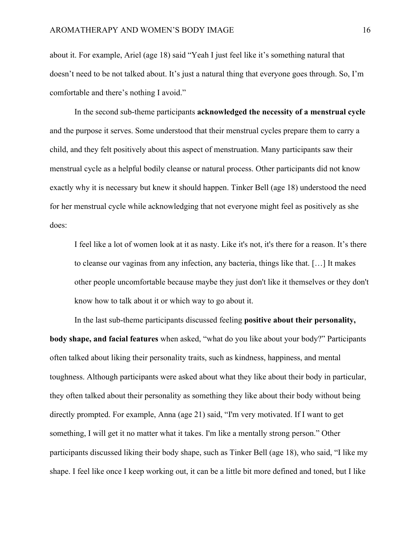about it. For example, Ariel (age 18) said "Yeah I just feel like it's something natural that doesn't need to be not talked about. It's just a natural thing that everyone goes through. So, I'm comfortable and there's nothing I avoid."

In the second sub-theme participants **acknowledged the necessity of a menstrual cycle** and the purpose it serves. Some understood that their menstrual cycles prepare them to carry a child, and they felt positively about this aspect of menstruation. Many participants saw their menstrual cycle as a helpful bodily cleanse or natural process. Other participants did not know exactly why it is necessary but knew it should happen. Tinker Bell (age 18) understood the need for her menstrual cycle while acknowledging that not everyone might feel as positively as she does:

I feel like a lot of women look at it as nasty. Like it's not, it's there for a reason. It's there to cleanse our vaginas from any infection, any bacteria, things like that. […] It makes other people uncomfortable because maybe they just don't like it themselves or they don't know how to talk about it or which way to go about it.

In the last sub-theme participants discussed feeling **positive about their personality, body shape, and facial features** when asked, "what do you like about your body?" Participants often talked about liking their personality traits, such as kindness, happiness, and mental toughness. Although participants were asked about what they like about their body in particular, they often talked about their personality as something they like about their body without being directly prompted. For example, Anna (age 21) said, "I'm very motivated. If I want to get something, I will get it no matter what it takes. I'm like a mentally strong person." Other participants discussed liking their body shape, such as Tinker Bell (age 18), who said, "I like my shape. I feel like once I keep working out, it can be a little bit more defined and toned, but I like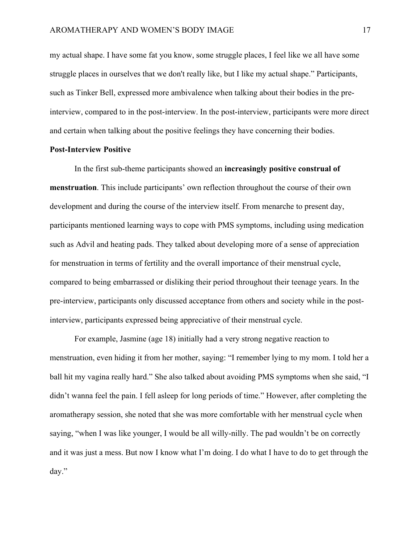my actual shape. I have some fat you know, some struggle places, I feel like we all have some struggle places in ourselves that we don't really like, but I like my actual shape." Participants, such as Tinker Bell, expressed more ambivalence when talking about their bodies in the preinterview, compared to in the post-interview. In the post-interview, participants were more direct and certain when talking about the positive feelings they have concerning their bodies.

#### **Post-Interview Positive**

In the first sub-theme participants showed an **increasingly positive construal of menstruation**. This include participants' own reflection throughout the course of their own development and during the course of the interview itself. From menarche to present day, participants mentioned learning ways to cope with PMS symptoms, including using medication such as Advil and heating pads. They talked about developing more of a sense of appreciation for menstruation in terms of fertility and the overall importance of their menstrual cycle, compared to being embarrassed or disliking their period throughout their teenage years. In the pre-interview, participants only discussed acceptance from others and society while in the postinterview, participants expressed being appreciative of their menstrual cycle.

For example, Jasmine (age 18) initially had a very strong negative reaction to menstruation, even hiding it from her mother, saying: "I remember lying to my mom. I told her a ball hit my vagina really hard." She also talked about avoiding PMS symptoms when she said, "I didn't wanna feel the pain. I fell asleep for long periods of time." However, after completing the aromatherapy session, she noted that she was more comfortable with her menstrual cycle when saying, "when I was like younger, I would be all willy-nilly. The pad wouldn't be on correctly and it was just a mess. But now I know what I'm doing. I do what I have to do to get through the day."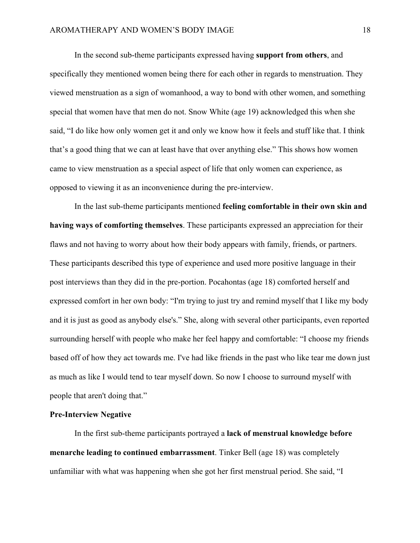In the second sub-theme participants expressed having **support from others**, and specifically they mentioned women being there for each other in regards to menstruation. They viewed menstruation as a sign of womanhood, a way to bond with other women, and something special that women have that men do not. Snow White (age 19) acknowledged this when she said, "I do like how only women get it and only we know how it feels and stuff like that. I think that's a good thing that we can at least have that over anything else." This shows how women came to view menstruation as a special aspect of life that only women can experience, as opposed to viewing it as an inconvenience during the pre-interview.

In the last sub-theme participants mentioned **feeling comfortable in their own skin and having ways of comforting themselves**. These participants expressed an appreciation for their flaws and not having to worry about how their body appears with family, friends, or partners. These participants described this type of experience and used more positive language in their post interviews than they did in the pre-portion. Pocahontas (age 18) comforted herself and expressed comfort in her own body: "I'm trying to just try and remind myself that I like my body and it is just as good as anybody else's." She, along with several other participants, even reported surrounding herself with people who make her feel happy and comfortable: "I choose my friends based off of how they act towards me. I've had like friends in the past who like tear me down just as much as like I would tend to tear myself down. So now I choose to surround myself with people that aren't doing that."

#### **Pre-Interview Negative**

In the first sub-theme participants portrayed a **lack of menstrual knowledge before menarche leading to continued embarrassment**. Tinker Bell (age 18) was completely unfamiliar with what was happening when she got her first menstrual period. She said, "I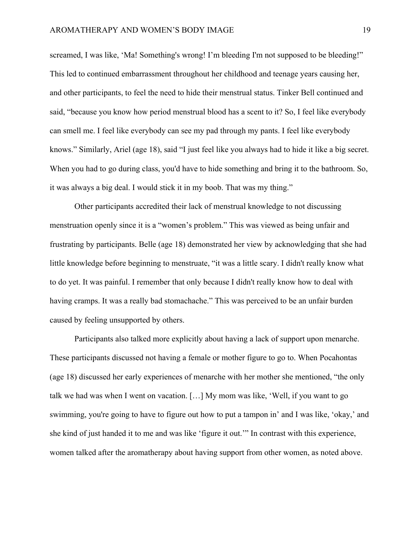screamed, I was like, 'Ma! Something's wrong! I'm bleeding I'm not supposed to be bleeding!" This led to continued embarrassment throughout her childhood and teenage years causing her, and other participants, to feel the need to hide their menstrual status. Tinker Bell continued and said, "because you know how period menstrual blood has a scent to it? So, I feel like everybody can smell me. I feel like everybody can see my pad through my pants. I feel like everybody knows." Similarly, Ariel (age 18), said "I just feel like you always had to hide it like a big secret. When you had to go during class, you'd have to hide something and bring it to the bathroom. So, it was always a big deal. I would stick it in my boob. That was my thing."

Other participants accredited their lack of menstrual knowledge to not discussing menstruation openly since it is a "women's problem." This was viewed as being unfair and frustrating by participants. Belle (age 18) demonstrated her view by acknowledging that she had little knowledge before beginning to menstruate, "it was a little scary. I didn't really know what to do yet. It was painful. I remember that only because I didn't really know how to deal with having cramps. It was a really bad stomachache." This was perceived to be an unfair burden caused by feeling unsupported by others.

Participants also talked more explicitly about having a lack of support upon menarche. These participants discussed not having a female or mother figure to go to. When Pocahontas (age 18) discussed her early experiences of menarche with her mother she mentioned, "the only talk we had was when I went on vacation. […] My mom was like, 'Well, if you want to go swimming, you're going to have to figure out how to put a tampon in' and I was like, 'okay,' and she kind of just handed it to me and was like 'figure it out.'" In contrast with this experience, women talked after the aromatherapy about having support from other women, as noted above.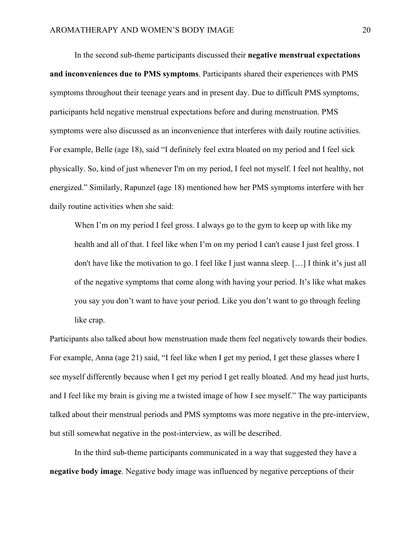In the second sub-theme participants discussed their **negative menstrual expectations and inconveniences due to PMS symptoms**. Participants shared their experiences with PMS symptoms throughout their teenage years and in present day. Due to difficult PMS symptoms, participants held negative menstrual expectations before and during menstruation. PMS symptoms were also discussed as an inconvenience that interferes with daily routine activities. For example, Belle (age 18), said "I definitely feel extra bloated on my period and I feel sick physically. So, kind of just whenever I'm on my period, I feel not myself. I feel not healthy, not energized." Similarly, Rapunzel (age 18) mentioned how her PMS symptoms interfere with her daily routine activities when she said:

When I'm on my period I feel gross. I always go to the gym to keep up with like my health and all of that. I feel like when I'm on my period I can't cause I just feel gross. I don't have like the motivation to go. I feel like I just wanna sleep. […] I think it's just all of the negative symptoms that come along with having your period. It's like what makes you say you don't want to have your period. Like you don't want to go through feeling like crap.

Participants also talked about how menstruation made them feel negatively towards their bodies. For example, Anna (age 21) said, "I feel like when I get my period, I get these glasses where I see myself differently because when I get my period I get really bloated. And my head just hurts, and I feel like my brain is giving me a twisted image of how I see myself." The way participants talked about their menstrual periods and PMS symptoms was more negative in the pre-interview, but still somewhat negative in the post-interview, as will be described.

In the third sub-theme participants communicated in a way that suggested they have a **negative body image**. Negative body image was influenced by negative perceptions of their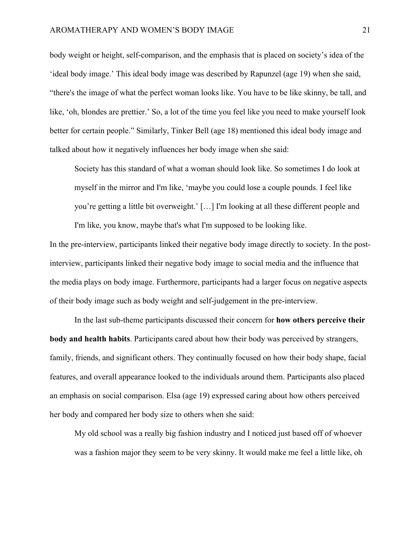body weight or height, self-comparison, and the emphasis that is placed on society's idea of the 'ideal body image.' This ideal body image was described by Rapunzel (age 19) when she said, "there's the image of what the perfect woman looks like. You have to be like skinny, be tall, and like, 'oh, blondes are prettier.' So, a lot of the time you feel like you need to make yourself look better for certain people." Similarly, Tinker Bell (age 18) mentioned this ideal body image and talked about how it negatively influences her body image when she said:

Society has this standard of what a woman should look like. So sometimes I do look at myself in the mirror and I'm like, 'maybe you could lose a couple pounds. I feel like you're getting a little bit overweight.' […] I'm looking at all these different people and I'm like, you know, maybe that's what I'm supposed to be looking like.

In the pre-interview, participants linked their negative body image directly to society. In the postinterview, participants linked their negative body image to social media and the influence that the media plays on body image. Furthermore, participants had a larger focus on negative aspects of their body image such as body weight and self-judgement in the pre-interview.

In the last sub-theme participants discussed their concern for **how others perceive their body and health habits**. Participants cared about how their body was perceived by strangers, family, friends, and significant others. They continually focused on how their body shape, facial features, and overall appearance looked to the individuals around them. Participants also placed an emphasis on social comparison. Elsa (age 19) expressed caring about how others perceived her body and compared her body size to others when she said:

My old school was a really big fashion industry and I noticed just based off of whoever was a fashion major they seem to be very skinny. It would make me feel a little like, oh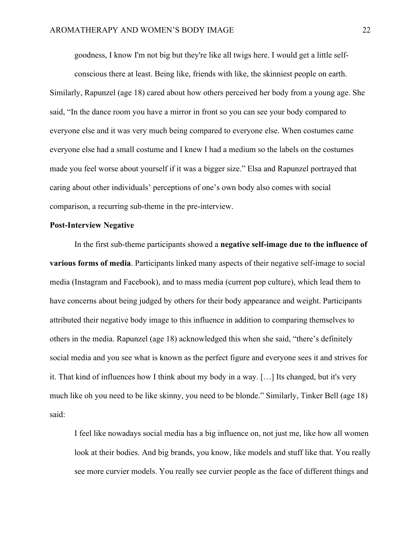goodness, I know I'm not big but they're like all twigs here. I would get a little self-

conscious there at least. Being like, friends with like, the skinniest people on earth. Similarly, Rapunzel (age 18) cared about how others perceived her body from a young age. She said, "In the dance room you have a mirror in front so you can see your body compared to everyone else and it was very much being compared to everyone else. When costumes came everyone else had a small costume and I knew I had a medium so the labels on the costumes made you feel worse about yourself if it was a bigger size." Elsa and Rapunzel portrayed that caring about other individuals' perceptions of one's own body also comes with social comparison, a recurring sub-theme in the pre-interview.

#### **Post-Interview Negative**

In the first sub-theme participants showed a **negative self-image due to the influence of various forms of media**. Participants linked many aspects of their negative self-image to social media (Instagram and Facebook), and to mass media (current pop culture), which lead them to have concerns about being judged by others for their body appearance and weight. Participants attributed their negative body image to this influence in addition to comparing themselves to others in the media. Rapunzel (age 18) acknowledged this when she said, "there's definitely social media and you see what is known as the perfect figure and everyone sees it and strives for it. That kind of influences how I think about my body in a way. […] Its changed, but it's very much like oh you need to be like skinny, you need to be blonde." Similarly, Tinker Bell (age 18) said:

I feel like nowadays social media has a big influence on, not just me, like how all women look at their bodies. And big brands, you know, like models and stuff like that. You really see more curvier models. You really see curvier people as the face of different things and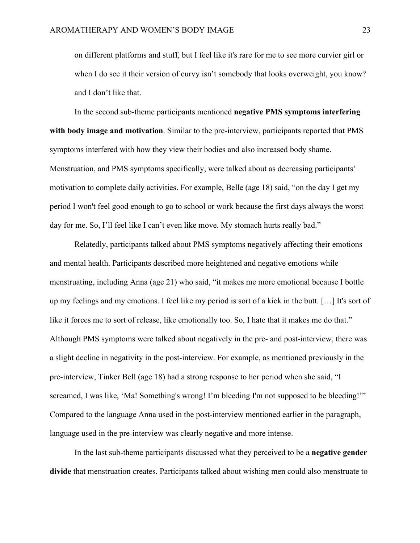on different platforms and stuff, but I feel like it's rare for me to see more curvier girl or when I do see it their version of curvy isn't somebody that looks overweight, you know? and I don't like that.

In the second sub-theme participants mentioned **negative PMS symptoms interfering with body image and motivation**. Similar to the pre-interview, participants reported that PMS symptoms interfered with how they view their bodies and also increased body shame. Menstruation, and PMS symptoms specifically, were talked about as decreasing participants' motivation to complete daily activities. For example, Belle (age 18) said, "on the day I get my period I won't feel good enough to go to school or work because the first days always the worst day for me. So, I'll feel like I can't even like move. My stomach hurts really bad."

Relatedly, participants talked about PMS symptoms negatively affecting their emotions and mental health. Participants described more heightened and negative emotions while menstruating, including Anna (age 21) who said, "it makes me more emotional because I bottle up my feelings and my emotions. I feel like my period is sort of a kick in the butt. […] It's sort of like it forces me to sort of release, like emotionally too. So, I hate that it makes me do that." Although PMS symptoms were talked about negatively in the pre- and post-interview, there was a slight decline in negativity in the post-interview. For example, as mentioned previously in the pre-interview, Tinker Bell (age 18) had a strong response to her period when she said, "I screamed, I was like, 'Ma! Something's wrong! I'm bleeding I'm not supposed to be bleeding!" Compared to the language Anna used in the post-interview mentioned earlier in the paragraph, language used in the pre-interview was clearly negative and more intense.

In the last sub-theme participants discussed what they perceived to be a **negative gender divide** that menstruation creates. Participants talked about wishing men could also menstruate to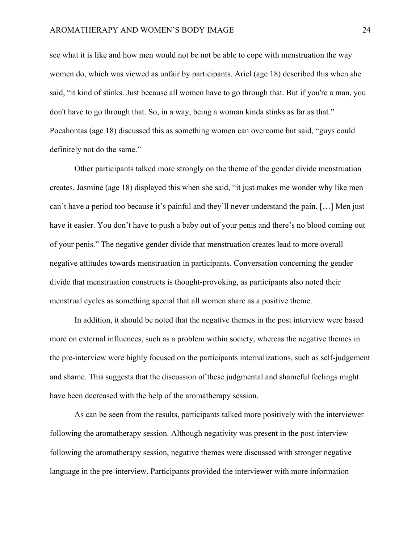see what it is like and how men would not be not be able to cope with menstruation the way women do, which was viewed as unfair by participants. Ariel (age 18) described this when she said, "it kind of stinks. Just because all women have to go through that. But if you're a man, you don't have to go through that. So, in a way, being a woman kinda stinks as far as that." Pocahontas (age 18) discussed this as something women can overcome but said, "guys could definitely not do the same."

Other participants talked more strongly on the theme of the gender divide menstruation creates. Jasmine (age 18) displayed this when she said, "it just makes me wonder why like men can't have a period too because it's painful and they'll never understand the pain. […] Men just have it easier. You don't have to push a baby out of your penis and there's no blood coming out of your penis." The negative gender divide that menstruation creates lead to more overall negative attitudes towards menstruation in participants. Conversation concerning the gender divide that menstruation constructs is thought-provoking, as participants also noted their menstrual cycles as something special that all women share as a positive theme.

In addition, it should be noted that the negative themes in the post interview were based more on external influences, such as a problem within society, whereas the negative themes in the pre-interview were highly focused on the participants internalizations, such as self-judgement and shame. This suggests that the discussion of these judgmental and shameful feelings might have been decreased with the help of the aromatherapy session.

As can be seen from the results, participants talked more positively with the interviewer following the aromatherapy session. Although negativity was present in the post-interview following the aromatherapy session, negative themes were discussed with stronger negative language in the pre-interview. Participants provided the interviewer with more information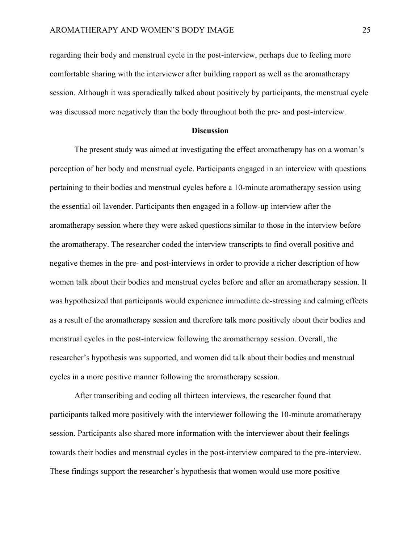regarding their body and menstrual cycle in the post-interview, perhaps due to feeling more comfortable sharing with the interviewer after building rapport as well as the aromatherapy session. Although it was sporadically talked about positively by participants, the menstrual cycle was discussed more negatively than the body throughout both the pre- and post-interview.

#### **Discussion**

The present study was aimed at investigating the effect aromatherapy has on a woman's perception of her body and menstrual cycle. Participants engaged in an interview with questions pertaining to their bodies and menstrual cycles before a 10-minute aromatherapy session using the essential oil lavender. Participants then engaged in a follow-up interview after the aromatherapy session where they were asked questions similar to those in the interview before the aromatherapy. The researcher coded the interview transcripts to find overall positive and negative themes in the pre- and post-interviews in order to provide a richer description of how women talk about their bodies and menstrual cycles before and after an aromatherapy session. It was hypothesized that participants would experience immediate de-stressing and calming effects as a result of the aromatherapy session and therefore talk more positively about their bodies and menstrual cycles in the post-interview following the aromatherapy session. Overall, the researcher's hypothesis was supported, and women did talk about their bodies and menstrual cycles in a more positive manner following the aromatherapy session.

After transcribing and coding all thirteen interviews, the researcher found that participants talked more positively with the interviewer following the 10-minute aromatherapy session. Participants also shared more information with the interviewer about their feelings towards their bodies and menstrual cycles in the post-interview compared to the pre-interview. These findings support the researcher's hypothesis that women would use more positive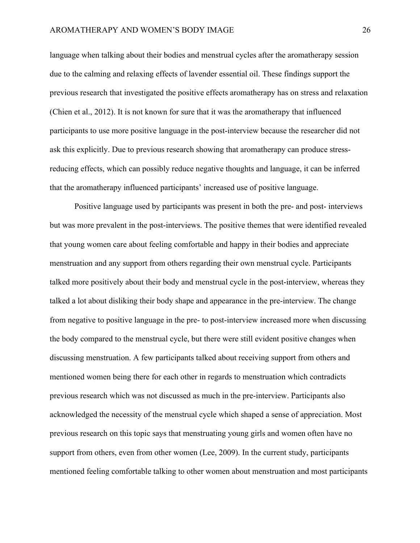language when talking about their bodies and menstrual cycles after the aromatherapy session due to the calming and relaxing effects of lavender essential oil. These findings support the previous research that investigated the positive effects aromatherapy has on stress and relaxation (Chien et al., 2012). It is not known for sure that it was the aromatherapy that influenced participants to use more positive language in the post-interview because the researcher did not ask this explicitly. Due to previous research showing that aromatherapy can produce stressreducing effects, which can possibly reduce negative thoughts and language, it can be inferred that the aromatherapy influenced participants' increased use of positive language.

Positive language used by participants was present in both the pre- and post- interviews but was more prevalent in the post-interviews. The positive themes that were identified revealed that young women care about feeling comfortable and happy in their bodies and appreciate menstruation and any support from others regarding their own menstrual cycle. Participants talked more positively about their body and menstrual cycle in the post-interview, whereas they talked a lot about disliking their body shape and appearance in the pre-interview. The change from negative to positive language in the pre- to post-interview increased more when discussing the body compared to the menstrual cycle, but there were still evident positive changes when discussing menstruation. A few participants talked about receiving support from others and mentioned women being there for each other in regards to menstruation which contradicts previous research which was not discussed as much in the pre-interview. Participants also acknowledged the necessity of the menstrual cycle which shaped a sense of appreciation. Most previous research on this topic says that menstruating young girls and women often have no support from others, even from other women (Lee, 2009). In the current study, participants mentioned feeling comfortable talking to other women about menstruation and most participants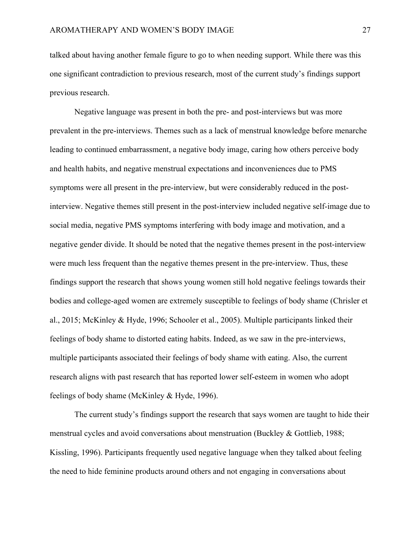talked about having another female figure to go to when needing support. While there was this one significant contradiction to previous research, most of the current study's findings support previous research.

Negative language was present in both the pre- and post-interviews but was more prevalent in the pre-interviews. Themes such as a lack of menstrual knowledge before menarche leading to continued embarrassment, a negative body image, caring how others perceive body and health habits, and negative menstrual expectations and inconveniences due to PMS symptoms were all present in the pre-interview, but were considerably reduced in the postinterview. Negative themes still present in the post-interview included negative self-image due to social media, negative PMS symptoms interfering with body image and motivation, and a negative gender divide. It should be noted that the negative themes present in the post-interview were much less frequent than the negative themes present in the pre-interview. Thus, these findings support the research that shows young women still hold negative feelings towards their bodies and college-aged women are extremely susceptible to feelings of body shame (Chrisler et al., 2015; McKinley & Hyde, 1996; Schooler et al., 2005). Multiple participants linked their feelings of body shame to distorted eating habits. Indeed, as we saw in the pre-interviews, multiple participants associated their feelings of body shame with eating. Also, the current research aligns with past research that has reported lower self-esteem in women who adopt feelings of body shame (McKinley & Hyde, 1996).

The current study's findings support the research that says women are taught to hide their menstrual cycles and avoid conversations about menstruation (Buckley & Gottlieb, 1988; Kissling, 1996). Participants frequently used negative language when they talked about feeling the need to hide feminine products around others and not engaging in conversations about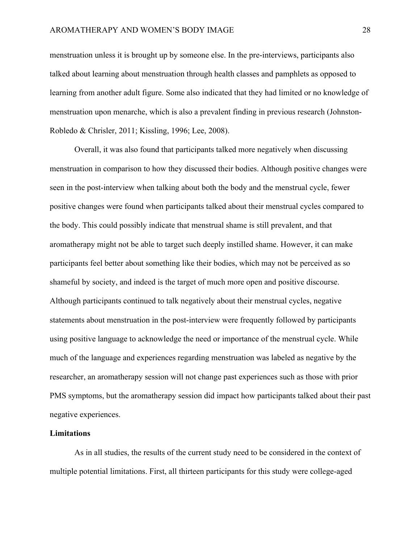menstruation unless it is brought up by someone else. In the pre-interviews, participants also talked about learning about menstruation through health classes and pamphlets as opposed to learning from another adult figure. Some also indicated that they had limited or no knowledge of menstruation upon menarche, which is also a prevalent finding in previous research (Johnston-Robledo & Chrisler, 2011; Kissling, 1996; Lee, 2008).

Overall, it was also found that participants talked more negatively when discussing menstruation in comparison to how they discussed their bodies. Although positive changes were seen in the post-interview when talking about both the body and the menstrual cycle, fewer positive changes were found when participants talked about their menstrual cycles compared to the body. This could possibly indicate that menstrual shame is still prevalent, and that aromatherapy might not be able to target such deeply instilled shame. However, it can make participants feel better about something like their bodies, which may not be perceived as so shameful by society, and indeed is the target of much more open and positive discourse. Although participants continued to talk negatively about their menstrual cycles, negative statements about menstruation in the post-interview were frequently followed by participants using positive language to acknowledge the need or importance of the menstrual cycle. While much of the language and experiences regarding menstruation was labeled as negative by the researcher, an aromatherapy session will not change past experiences such as those with prior PMS symptoms, but the aromatherapy session did impact how participants talked about their past negative experiences.

### **Limitations**

As in all studies, the results of the current study need to be considered in the context of multiple potential limitations. First, all thirteen participants for this study were college-aged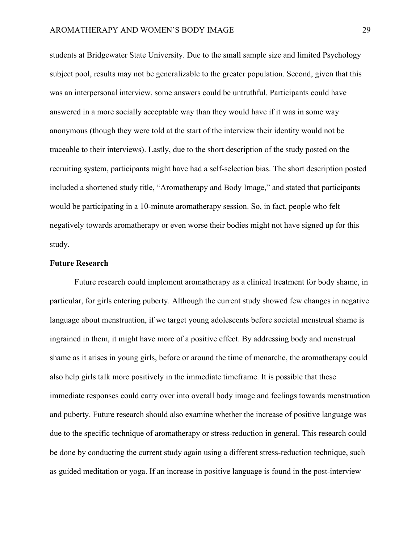students at Bridgewater State University. Due to the small sample size and limited Psychology subject pool, results may not be generalizable to the greater population. Second, given that this was an interpersonal interview, some answers could be untruthful. Participants could have answered in a more socially acceptable way than they would have if it was in some way anonymous (though they were told at the start of the interview their identity would not be traceable to their interviews). Lastly, due to the short description of the study posted on the recruiting system, participants might have had a self-selection bias. The short description posted included a shortened study title, "Aromatherapy and Body Image," and stated that participants would be participating in a 10-minute aromatherapy session. So, in fact, people who felt negatively towards aromatherapy or even worse their bodies might not have signed up for this study.

#### **Future Research**

Future research could implement aromatherapy as a clinical treatment for body shame, in particular, for girls entering puberty. Although the current study showed few changes in negative language about menstruation, if we target young adolescents before societal menstrual shame is ingrained in them, it might have more of a positive effect. By addressing body and menstrual shame as it arises in young girls, before or around the time of menarche, the aromatherapy could also help girls talk more positively in the immediate timeframe. It is possible that these immediate responses could carry over into overall body image and feelings towards menstruation and puberty. Future research should also examine whether the increase of positive language was due to the specific technique of aromatherapy or stress-reduction in general. This research could be done by conducting the current study again using a different stress-reduction technique, such as guided meditation or yoga. If an increase in positive language is found in the post-interview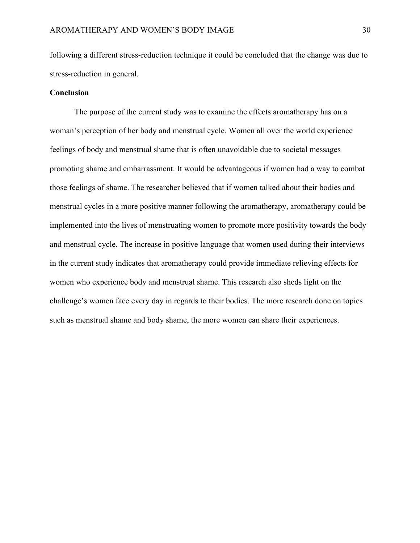following a different stress-reduction technique it could be concluded that the change was due to stress-reduction in general.

#### **Conclusion**

The purpose of the current study was to examine the effects aromatherapy has on a woman's perception of her body and menstrual cycle. Women all over the world experience feelings of body and menstrual shame that is often unavoidable due to societal messages promoting shame and embarrassment. It would be advantageous if women had a way to combat those feelings of shame. The researcher believed that if women talked about their bodies and menstrual cycles in a more positive manner following the aromatherapy, aromatherapy could be implemented into the lives of menstruating women to promote more positivity towards the body and menstrual cycle. The increase in positive language that women used during their interviews in the current study indicates that aromatherapy could provide immediate relieving effects for women who experience body and menstrual shame. This research also sheds light on the challenge's women face every day in regards to their bodies. The more research done on topics such as menstrual shame and body shame, the more women can share their experiences.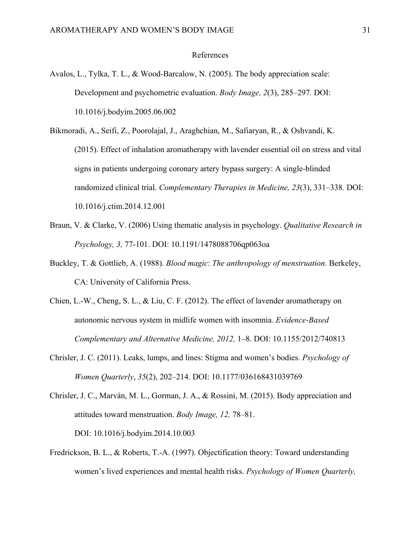#### References

- Avalos, L., Tylka, T. L., & Wood-Barcalow, N. (2005). The body appreciation scale: Development and psychometric evaluation. *Body Image, 2*(3), 285–297*.* DOI: 10.1016/j.bodyim.2005.06.002
- Bikmoradi, A., Seifi, Z., Poorolajal, J., Araghchian, M., Safiaryan, R., & Oshvandi, K. (2015). Effect of inhalation aromatherapy with lavender essential oil on stress and vital signs in patients undergoing coronary artery bypass surgery: A single-blinded randomized clinical trial. *Complementary Therapies in Medicine, 23*(3), 331–338*.* DOI: 10.1016/j.ctim.2014.12.001
- Braun, V. & Clarke, V. (2006) Using thematic analysis in psychology. *Qualitative Research in Psychology, 3,* 77-101. DOI: 10.1191/1478088706qp063oa
- Buckley, T. & Gottlieb, A. (1988). *Blood magic*: *The anthropology of menstruation.* Berkeley, CA: University of California Press.
- Chien, L.-W., Cheng, S. L., & Liu, C. F. (2012). The effect of lavender aromatherapy on autonomic nervous system in midlife women with insomnia. *Evidence-Based Complementary and Alternative Medicine, 2012,* 1–8. DOI: 10.1155/2012/740813
- Chrisler, J. C. (2011). Leaks, lumps, and lines: Stigma and women's bodies. *Psychology of Women Quarterly*, *35*(2), 202–214. DOI: 10.1177/036168431039769
- Chrisler, J. C., Marván, M. L., Gorman, J. A., & Rossini, M. (2015). Body appreciation and attitudes toward menstruation. *Body Image, 12,* 78–81. DOI: 10.1016/j.bodyim.2014.10.003
- Fredrickson, B. L., & Roberts, T.-A. (1997). Objectification theory: Toward understanding women's lived experiences and mental health risks. *Psychology of Women Quarterly,*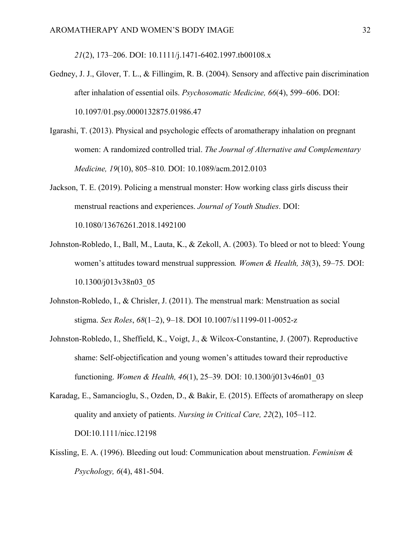*21*(2), 173–206. DOI: 10.1111/j.1471-6402.1997.tb00108.x

- Gedney, J. J., Glover, T. L., & Fillingim, R. B. (2004). Sensory and affective pain discrimination after inhalation of essential oils. *Psychosomatic Medicine, 66*(4), 599–606. DOI: 10.1097/01.psy.0000132875.01986.47
- Igarashi, T. (2013). Physical and psychologic effects of aromatherapy inhalation on pregnant women: A randomized controlled trial. *The Journal of Alternative and Complementary Medicine, 19*(10), 805–810*.* DOI: 10.1089/acm.2012.0103
- Jackson, T. E. (2019). Policing a menstrual monster: How working class girls discuss their menstrual reactions and experiences. *Journal of Youth Studies*. DOI: 10.1080/13676261.2018.1492100
- Johnston-Robledo, I., Ball, M., Lauta, K., & Zekoll, A. (2003). To bleed or not to bleed: Young women's attitudes toward menstrual suppression*. Women & Health, 38*(3), 59–75*.* DOI: 10.1300/j013v38n03\_05
- Johnston-Robledo, I., & Chrisler, J. (2011). The menstrual mark: Menstruation as social stigma. *Sex Roles*, *68*(1–2), 9–18. DOI 10.1007/s11199-011-0052-z
- Johnston-Robledo, I., Sheffield, K., Voigt, J., & Wilcox-Constantine, J. (2007). Reproductive shame: Self-objectification and young women's attitudes toward their reproductive functioning. *Women & Health, 46*(1), 25–39*.* DOI: 10.1300/j013v46n01\_03
- Karadag, E., Samancioglu, S., Ozden, D., & Bakir, E. (2015). Effects of aromatherapy on sleep quality and anxiety of patients. *Nursing in Critical Care, 22*(2), 105–112. DOI:10.1111/nicc.12198
- Kissling, E. A. (1996). Bleeding out loud: Communication about menstruation. *Feminism & Psychology, 6*(4), 481-504.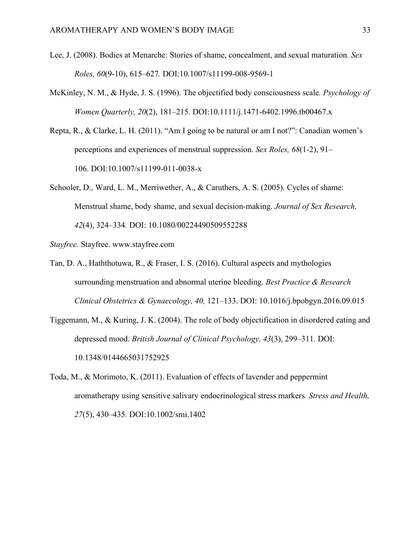- Lee, J. (2008). Bodies at Menarche: Stories of shame, concealment, and sexual maturation*. Sex Roles, 60*(9-10), 615–627*.* DOI:10.1007/s11199-008-9569-1
- McKinley, N. M., & Hyde, J. S. (1996). The objectified body consciousness scale*. Psychology of Women Quarterly, 20*(2), 181–215*.* DOI:10.1111/j.1471-6402.1996.tb00467.x
- Repta, R., & Clarke, L. H. (2011). "Am I going to be natural or am I not?": Canadian women's perceptions and experiences of menstrual suppression. *Sex Roles, 68*(1-2), 91– 106. DOI:10.1007/s11199-011-0038-x
- Schooler, D., Ward, L. M., Merriwether, A., & Caruthers, A. S. (2005). Cycles of shame: Menstrual shame, body shame, and sexual decision‐making. *Journal of Sex Research, 42*(4), 324–334*.* DOI: 10.1080/00224490509552288
- *Stayfree.* Stayfree. www.stayfree.com
- Tan, D. A., Haththotuwa, R., & Fraser, I. S. (2016). Cultural aspects and mythologies surrounding menstruation and abnormal uterine bleeding. *Best Practice & Research Clinical Obstetrics & Gynaecology, 40,* 121–133. DOI: 10.1016/j.bpobgyn.2016.09.015
- Tiggemann, M., & Kuring, J. K. (2004). The role of body objectification in disordered eating and depressed mood. *British Journal of Clinical Psychology, 43*(3), 299–311*.* DOI: 10.1348/0144665031752925
- Toda, M., & Morimoto, K. (2011). Evaluation of effects of lavender and peppermint aromatherapy using sensitive salivary endocrinological stress markers*. Stress and Health, 27*(5), 430–435*.* DOI:10.1002/smi.1402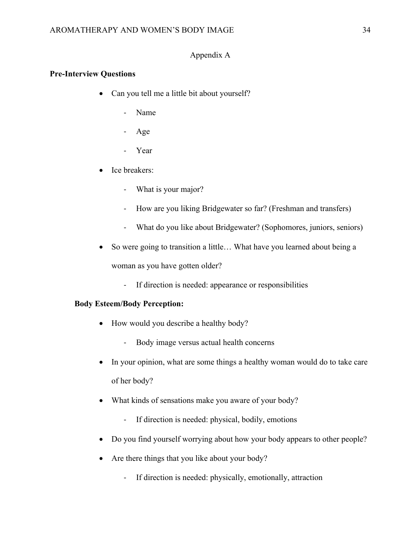## Appendix A

## **Pre-Interview Questions**

- Can you tell me a little bit about yourself?
	- Name
	- Age
	- Year
- Ice breakers:
	- What is your major?
	- How are you liking Bridgewater so far? (Freshman and transfers)
	- What do you like about Bridgewater? (Sophomores, juniors, seniors)
- So were going to transition a little... What have you learned about being a woman as you have gotten older?
	- If direction is needed: appearance or responsibilities

## **Body Esteem/Body Perception:**

- How would you describe a healthy body?
	- Body image versus actual health concerns
- In your opinion, what are some things a healthy woman would do to take care of her body?
- What kinds of sensations make you aware of your body?
	- If direction is needed: physical, bodily, emotions
- Do you find yourself worrying about how your body appears to other people?
- Are there things that you like about your body?
	- If direction is needed: physically, emotionally, attraction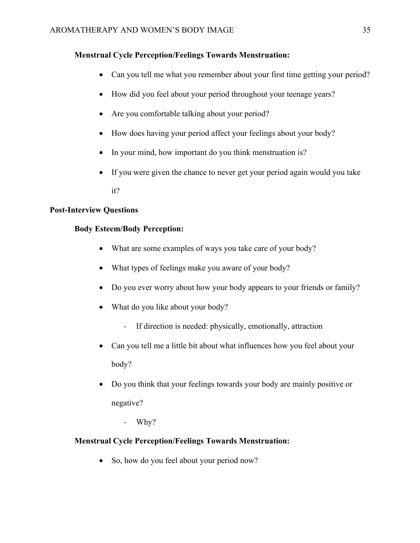# **Menstrual Cycle Perception/Feelings Towards Menstruation:**

- Can you tell me what you remember about your first time getting your period?
- How did you feel about your period throughout your teenage years?
- Are you comfortable talking about your period?
- How does having your period affect your feelings about your body?
- In your mind, how important do you think menstruation is?
- If you were given the chance to never get your period again would you take

it?

# **Post-Interview Questions**

# **Body Esteem/Body Perception:**

- What are some examples of ways you take care of your body?
- What types of feelings make you aware of your body?
- Do you ever worry about how your body appears to your friends or family?
- What do you like about your body?
	- If direction is needed: physically, emotionally, attraction
- Can you tell me a little bit about what influences how you feel about your body?
- Do you think that your feelings towards your body are mainly positive or negative?
	- Why?

# **Menstrual Cycle Perception/Feelings Towards Menstruation:**

• So, how do you feel about your period now?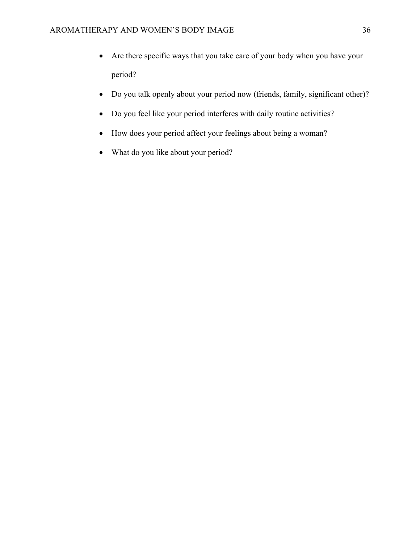- Are there specific ways that you take care of your body when you have your period?
- Do you talk openly about your period now (friends, family, significant other)?
- Do you feel like your period interferes with daily routine activities?
- How does your period affect your feelings about being a woman?
- What do you like about your period?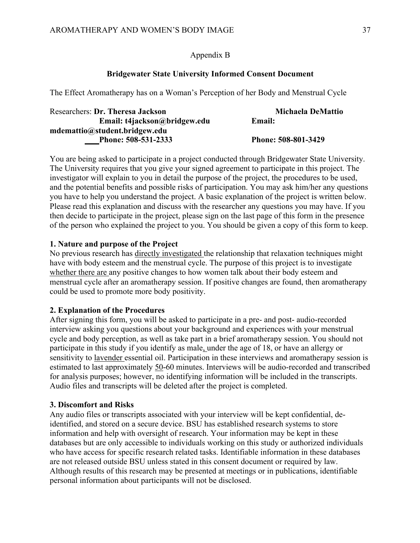## Appendix B

#### **Bridgewater State University Informed Consent Document**

The Effect Aromatherapy has on a Woman's Perception of her Body and Menstrual Cycle

| Researchers: Dr. Theresa Jackson | Michaela DeMattio   |
|----------------------------------|---------------------|
| Email: t4jackson@bridgew.edu     | Email:              |
| mdemattio@student.bridgew.edu    |                     |
| Phone: 508-531-2333              | Phone: 508-801-3429 |

You are being asked to participate in a project conducted through Bridgewater State University. The University requires that you give your signed agreement to participate in this project. The investigator will explain to you in detail the purpose of the project, the procedures to be used, and the potential benefits and possible risks of participation. You may ask him/her any questions you have to help you understand the project. A basic explanation of the project is written below. Please read this explanation and discuss with the researcher any questions you may have. If you then decide to participate in the project, please sign on the last page of this form in the presence of the person who explained the project to you. You should be given a copy of this form to keep.

#### **1. Nature and purpose of the Project**

No previous research has directly investigated the relationship that relaxation techniques might have with body esteem and the menstrual cycle. The purpose of this project is to investigate whether there are any positive changes to how women talk about their body esteem and menstrual cycle after an aromatherapy session. If positive changes are found, then aromatherapy could be used to promote more body positivity.

#### **2. Explanation of the Procedures**

After signing this form, you will be asked to participate in a pre- and post- audio-recorded interview asking you questions about your background and experiences with your menstrual cycle and body perception, as well as take part in a brief aromatherapy session. You should not participate in this study if you identify as male, under the age of 18, or have an allergy or sensitivity to lavender essential oil. Participation in these interviews and aromatherapy session is estimated to last approximately 50-60 minutes. Interviews will be audio-recorded and transcribed for analysis purposes; however, no identifying information will be included in the transcripts. Audio files and transcripts will be deleted after the project is completed.

#### **3. Discomfort and Risks**

Any audio files or transcripts associated with your interview will be kept confidential, deidentified, and stored on a secure device. BSU has established research systems to store information and help with oversight of research. Your information may be kept in these databases but are only accessible to individuals working on this study or authorized individuals who have access for specific research related tasks. Identifiable information in these databases are not released outside BSU unless stated in this consent document or required by law. Although results of this research may be presented at meetings or in publications, identifiable personal information about participants will not be disclosed.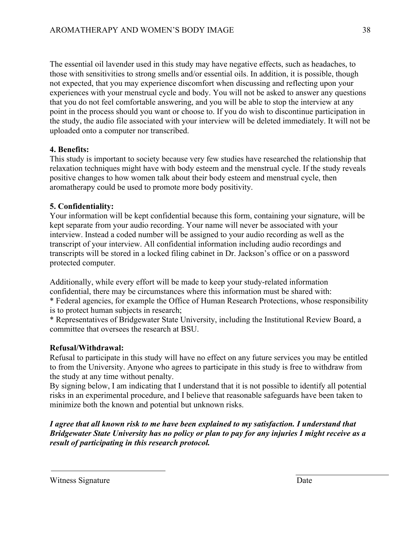The essential oil lavender used in this study may have negative effects, such as headaches, to those with sensitivities to strong smells and/or essential oils. In addition, it is possible, though not expected, that you may experience discomfort when discussing and reflecting upon your experiences with your menstrual cycle and body. You will not be asked to answer any questions that you do not feel comfortable answering, and you will be able to stop the interview at any point in the process should you want or choose to. If you do wish to discontinue participation in the study, the audio file associated with your interview will be deleted immediately. It will not be uploaded onto a computer nor transcribed.

# **4. Benefits:**

This study is important to society because very few studies have researched the relationship that relaxation techniques might have with body esteem and the menstrual cycle. If the study reveals positive changes to how women talk about their body esteem and menstrual cycle, then aromatherapy could be used to promote more body positivity.

# **5. Confidentiality:**

Your information will be kept confidential because this form, containing your signature, will be kept separate from your audio recording. Your name will never be associated with your interview. Instead a coded number will be assigned to your audio recording as well as the transcript of your interview. All confidential information including audio recordings and transcripts will be stored in a locked filing cabinet in Dr. Jackson's office or on a password protected computer.

Additionally, while every effort will be made to keep your study-related information confidential, there may be circumstances where this information must be shared with:

\* Federal agencies, for example the Office of Human Research Protections, whose responsibility is to protect human subjects in research;

\* Representatives of Bridgewater State University, including the Institutional Review Board, a committee that oversees the research at BSU.

# **Refusal/Withdrawal:**

Refusal to participate in this study will have no effect on any future services you may be entitled to from the University. Anyone who agrees to participate in this study is free to withdraw from the study at any time without penalty.

By signing below, I am indicating that I understand that it is not possible to identify all potential risks in an experimental procedure, and I believe that reasonable safeguards have been taken to minimize both the known and potential but unknown risks.

*I agree that all known risk to me have been explained to my satisfaction. I understand that Bridgewater State University has no policy or plan to pay for any injuries I might receive as a result of participating in this research protocol.*

Witness Signature Date Date Number of the Date of the Date Date Date Date